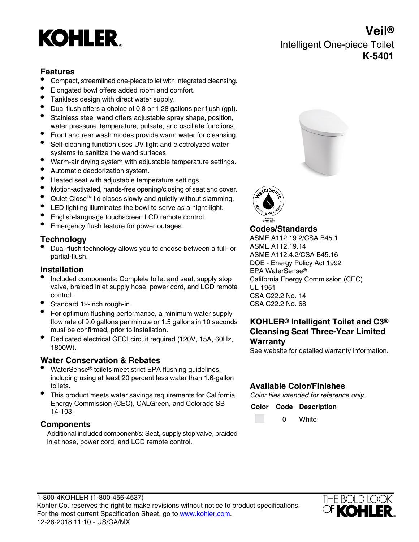# **KOHLER**

# **Veil®** Intelligent One-piece Toilet **K-5401**

### **Features**

- Compact, streamlined one-piece toilet with integrated cleansing.
- Elongated bowl offers added room and comfort.
- Tankless design with direct water supply.
- Dual flush offers a choice of 0.8 or 1.28 gallons per flush (gpf).
- Stainless steel wand offers adjustable spray shape, position, water pressure, temperature, pulsate, and oscillate functions.
- Front and rear wash modes provide warm water for cleansing.
- Self-cleaning function uses UV light and electrolyzed water systems to sanitize the wand surfaces.
- Warm-air drying system with adjustable temperature settings.
- Automatic deodorization system.
- Heated seat with adjustable temperature settings.<br>• Motion-activated, hands-free opening/closing of sea
- Motion-activated, hands-free opening/closing of seat and cover.
- Quiet-Close™ lid closes slowly and quietly without slamming.
- LED lighting illuminates the bowl to serve as a night-light.
- English-language touchscreen LCD remote control.
- Emergency flush feature for power outages. **Codes/Standards**

Dual-flush technology allows you to choose between a full- or partial-flush. The contract of the contract of the ASME A112.4.2/CSA B45.16

- Included components: Complete toilet and seat, supply stop valve, braided inlet supply hose, power cord, and LCD remote control.
- Standard 12-inch rough-in. CSA C22.2 No. 68
- For optimum flushing performance, a minimum water supply flow rate of 9.0 gallons per minute or 1.5 gallons in 10 seconds must be confirmed, prior to installation.
- Dedicated electrical GFCI circuit required (120V, 15A, 60Hz, Warranty<sup>1800W</sup>).

### **Water Conservation & Rebates**

- WaterSense® toilets meet strict EPA flushing guidelines, including using at least 20 percent less water than 1.6-gallon toilets.
- This product meets water savings requirements for California Energy Commission (CEC), CALGreen, and Colorado SB 14-103.

# **Components Components Components Components Components Components Components Components Components Components Components Components Components Components Components Components Components**

Additional included component/s: Seat, supply stop valve, braided inlet hose, power cord, and LCD remote control.





**Technology** ASME A112.19.2/CSA B45.1<br>● Dual-flush technology allows you to choose between a full- or ASME A112.19.14 DOE - Energy Policy Act 1992 **Installation** EPA WaterSense® California Energy Commission (CEC) UL 1951 CSA C22.2 No. 14

# **KOHLER® Intelligent Toilet and C3® Cleansing Seat Three-Year Limited**

See website for detailed warranty information.

### **Available Color/Finishes**

Color tiles intended for reference only.

**Color Code Description**